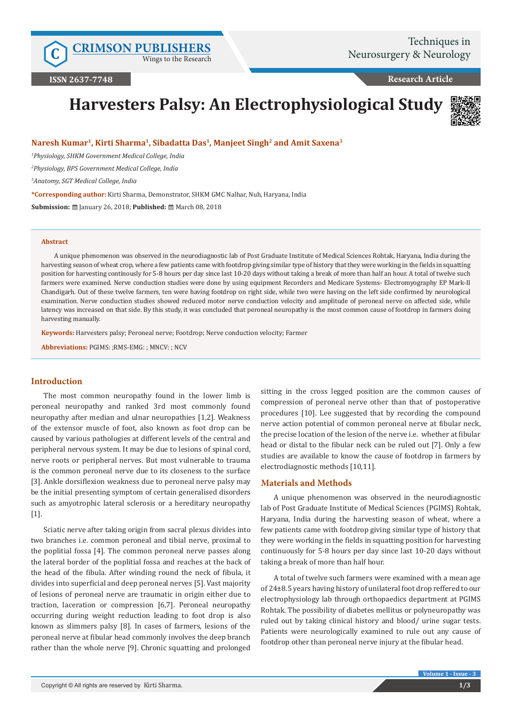Wings to the Research

**Research Article**

# **Harvesters Palsy: An Electrophysiological Study**



## **Naresh Kumar1, Kirti Sharma1, Sibadatta Das1, Manjeet Singh2 and Amit Saxena3**

*1 Physiology, SHKM Government Medical College, India*

*2 Physiology, BPS Government Medical College, India*

*3 Anatomy, SGT Medical College, India*

**\*Corresponding author:** Kirti Sharma, Demonstrator, SHKM GMC Nalhar, Nuh, Haryana, India

**Submission:** @ January 26, 2018; Published: @ March 08, 2018

#### **Abstract**

A unique phenomenon was observed in the neurodiagnostic lab of Post Graduate Institute of Medical Sciences Rohtak, Haryana, India during the harvesting season of wheat crop, where a few patients came with footdrop giving similar type of history that they were working in the fields in squatting position for harvesting continously for 5-8 hours per day since last 10-20 days without taking a break of more than half an hour. A total of twelve such farmers were examined. Nerve conduction studies were done by using equipment Recorders and Medicare Systems- Electromyography EP Mark-II Chandigarh. Out of these twelve farmers, ten were having footdrop on right side, while two were having on the left side confirmed by neurological examination. Nerve conduction studies showed reduced motor nerve conduction velocity and amplitude of peroneal nerve on affected side, while latency was increased on that side. By this study, it was concluded that peroneal neuropathy is the most common cause of footdrop in farmers doing harvesting manually.

**Keywords:** Harvesters palsy; Peroneal nerve; Footdrop; Nerve conduction velocity; Farmer

**Abbreviations:** PGIMS: ;RMS-EMG: ; MNCV: ; NCV

# **Introduction**

The most common neuropathy found in the lower limb is peroneal neuropathy and ranked 3rd most commonly found neuropathy after median and ulnar neuropathies [1,2]. Weakness of the extensor muscle of foot, also known as foot drop can be caused by various pathologies at different levels of the central and peripheral nervous system. It may be due to lesions of spinal cord, nerve roots or peripheral nerves. But most vulnerable to trauma is the common peroneal nerve due to its closeness to the surface [3]. Ankle dorsiflexion weakness due to peroneal nerve palsy may be the initial presenting symptom of certain generalised disorders such as amyotrophic lateral sclerosis or a hereditary neuropathy [1].

Sciatic nerve after taking origin from sacral plexus divides into two branches i.e. common peroneal and tibial nerve, proximal to the poplitial fossa [4]. The common peroneal nerve passes along the lateral border of the poplitial fossa and reaches at the back of the head of the fibula. After winding round the neck of fibula, it divides into superficial and deep peroneal nerves [5]. Vast majority of lesions of peroneal nerve are traumatic in origin either due to traction, laceration or compression [6,7]. Peroneal neuropathy occurring during weight reduction leading to foot drop is also known as slimmers palsy [8]. In cases of farmers, lesions of the peroneal nerve at fibular head commonly involves the deep branch rather than the whole nerve [9]. Chronic squatting and prolonged

sitting in the cross legged position are the common causes of compression of peroneal nerve other than that of postoperative procedures [10]. Lee suggested that by recording the compound nerve action potential of common peroneal nerve at fibular neck, the precise location of the lesion of the nerve i.e. whether at fibular head or distal to the fibular neck can be ruled out [7]. Only a few studies are available to know the cause of footdrop in farmers by electrodiagnostic methods [10,11].

# **Materials and Methods**

A unique phenomenon was observed in the neurodiagnostic lab of Post Graduate Institute of Medical Sciences (PGIMS) Rohtak, Haryana, India during the harvesting season of wheat, where a few patients came with footdrop giving similar type of history that they were working in the fields in squatting position for harvesting continuously for 5-8 hours per day since last 10-20 days without taking a break of more than half hour.

A total of twelve such farmers were examined with a mean age of 24±8.5 years having history of unilateral foot drop reffered to our electrophysiology lab through orthopaedics department at PGIMS Rohtak. The possibility of diabetes mellitus or polyneuropathy was ruled out by taking clinical history and blood/ urine sugar tests. Patients were neurologically examined to rule out any cause of footdrop other than peroneal nerve injury at the fibular head.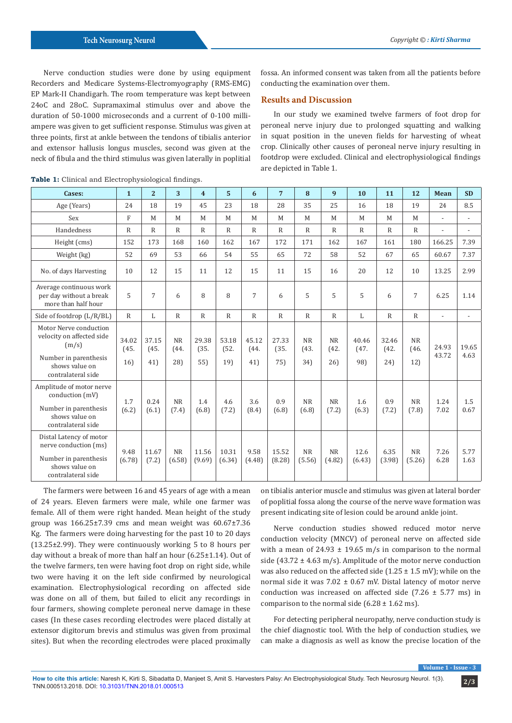Nerve conduction studies were done by using equipment Recorders and Medicare Systems-Electromyography (RMS-EMG) EP Mark-II Chandigarh. The room temperature was kept between 24oC and 28oC. Supramaximal stimulus over and above the duration of 50-1000 microseconds and a current of 0-100 milliampere was given to get sufficient response. Stimulus was given at three points, first at ankle between the tendons of tibialis anterior and extensor hallusis longus muscles, second was given at the neck of fibula and the third stimulus was given laterally in poplitial

fossa. An informed consent was taken from all the patients before conducting the examination over them.

# **Results and Discussion**

In our study we examined twelve farmers of foot drop for peroneal nerve injury due to prolonged squatting and walking in squat position in the uneven fields for harvesting of wheat crop. Clinically other causes of peroneal nerve injury resulting in footdrop were excluded. Clinical and electrophysiological findings are depicted in Table 1.

| Cases:                                                                                                                        | $\mathbf{1}$        | $\overline{2}$       | 3                        | $\overline{\mathbf{4}}$ | 5                    | 6                    | $\overline{7}$       | 8                        | 9                        | 10                   | 11                   | 12                       | <b>Mean</b>              | <b>SD</b>      |
|-------------------------------------------------------------------------------------------------------------------------------|---------------------|----------------------|--------------------------|-------------------------|----------------------|----------------------|----------------------|--------------------------|--------------------------|----------------------|----------------------|--------------------------|--------------------------|----------------|
| Age (Years)                                                                                                                   | 24                  | 18                   | 19                       | 45                      | 23                   | 18                   | 28                   | 35                       | 25                       | 16                   | 18                   | 19                       | 24                       | 8.5            |
| Sex                                                                                                                           | F                   | M                    | M                        | M                       | M                    | M                    | M                    | M                        | M                        | M                    | M                    | M                        | $\overline{\phantom{a}}$ | $\overline{a}$ |
| Handedness                                                                                                                    | $\mathsf{R}$        | $\mathsf{R}$         | $\mathbb{R}$             | $\mathsf{R}$            | $\mathsf{R}$         | $\mathsf{R}$         | $\mathsf{R}$         | $\mathsf{R}$             | $\mathbb{R}$             | $\mathsf{R}$         | $\mathsf{R}$         | $\mathbb{R}$             | ÷,                       |                |
| Height (cms)                                                                                                                  | 152                 | 173                  | 168                      | 160                     | 162                  | 167                  | 172                  | 171                      | 162                      | 167                  | 161                  | 180                      | 166.25                   | 7.39           |
| Weight (kg)                                                                                                                   | 52                  | 69                   | 53                       | 66                      | 54                   | 55                   | 65                   | 72                       | 58                       | 52                   | 67                   | 65                       | 60.67                    | 7.37           |
| No. of days Harvesting                                                                                                        | 10                  | 12                   | 15                       | 11                      | 12                   | 15                   | 11                   | 15                       | 16                       | 20                   | 12                   | 10                       | 13.25                    | 2.99           |
| Average continuous work<br>per day without a break<br>more than half hour                                                     | 5                   | 7                    | 6                        | 8                       | 8                    | 7                    | 6                    | 5                        | 5                        | 5                    | 6                    | 7                        | 6.25                     | 1.14           |
| Side of footdrop (L/R/BL)                                                                                                     | $\mathbb{R}$        | L                    | $\mathbb{R}$             | $\mathbb{R}$            | $\mathbb{R}$         | $\mathbb{R}$         | $\mathbb{R}$         | $\mathbb{R}$             | $\mathbb{R}$             | L                    | $\mathbb{R}$         | $\mathbb{R}$             | $\overline{a}$           |                |
| Motor Nerve conduction<br>velocity on affected side<br>(m/s)<br>Number in parenthesis<br>shows value on<br>contralateral side | 34.02<br>(45.<br>16 | 37.15<br>(45.<br>41) | <b>NR</b><br>(44.<br>28) | 29.38<br>(35.<br>55     | 53.18<br>(52.<br>19) | 45.12<br>(44.<br>41) | 27.33<br>(35.<br>75) | <b>NR</b><br>(43.<br>34) | <b>NR</b><br>(42.<br>26) | 40.46<br>(47.<br>98) | 32.46<br>(42.<br>24) | <b>NR</b><br>(46.<br>12) | 24.93<br>43.72           | 19.65<br>4.63  |
| Amplitude of motor nerve<br>conduction (mV)<br>Number in parenthesis<br>shows value on<br>contralateral side                  | 1.7<br>(6.2)        | 0.24<br>(6.1)        | <b>NR</b><br>(7.4)       | 1.4<br>(6.8)            | 4.6<br>(7.2)         | 3.6<br>(8.4)         | 0.9<br>(6.8)         | <b>NR</b><br>(6.8)       | <b>NR</b><br>(7.2)       | 1.6<br>(6.3)         | 0.9<br>(7.2)         | <b>NR</b><br>(7.8)       | 1.24<br>7.02             | 1.5<br>0.67    |
| Distal Latency of motor<br>nerve conduction (ms)<br>Number in parenthesis<br>shows value on<br>contralateral side             | 9.48<br>(6.78)      | 11.67<br>(7.2)       | <b>NR</b><br>(6.58)      | 11.56<br>(9.69)         | 10.31<br>(6.34)      | 9.58<br>(4.48)       | 15.52<br>(8.28)      | <b>NR</b><br>(5.56)      | <b>NR</b><br>(4.82)      | 12.6<br>(6.43)       | 6.35<br>(3.98)       | <b>NR</b><br>(5.26)      | 7.26<br>6.28             | 5.77<br>1.63   |

**Table 1:** Clinical and Electrophysiological findings.

The farmers were between 16 and 45 years of age with a mean of 24 years. Eleven farmers were male, while one farmer was female. All of them were right handed. Mean height of the study group was  $166.25\pm7.39$  cms and mean weight was  $60.67\pm7.36$ Kg. The farmers were doing harvesting for the past 10 to 20 days (13.25±2.99). They were continuously working 5 to 8 hours per day without a break of more than half an hour (6.25±1.14). Out of the twelve farmers, ten were having foot drop on right side, while two were having it on the left side confirmed by neurological examination. Electrophysiological recording on affected side was done on all of them, but failed to elicit any recordings in four farmers, showing complete peroneal nerve damage in these cases (In these cases recording electrodes were placed distally at extensor digitorum brevis and stimulus was given from proximal sites). But when the recording electrodes were placed proximally

on tibialis anterior muscle and stimulus was given at lateral border of poplitial fossa along the course of the nerve wave formation was present indicating site of lesion could be around ankle joint.

Nerve conduction studies showed reduced motor nerve conduction velocity (MNCV) of peroneal nerve on affected side with a mean of  $24.93 \pm 19.65$  m/s in comparison to the normal side (43.72  $\pm$  4.63 m/s). Amplitude of the motor nerve conduction was also reduced on the affected side (1.25  $\pm$  1.5 mV); while on the normal side it was  $7.02 \pm 0.67$  mV. Distal latency of motor nerve conduction was increased on affected side (7.26  $\pm$  5.77 ms) in comparison to the normal side  $(6.28 \pm 1.62 \text{ ms})$ .

For detecting peripheral neuropathy, nerve conduction study is the chief diagnostic tool. With the help of conduction studies, we can make a diagnosis as well as know the precise location of the

**Volume 1**